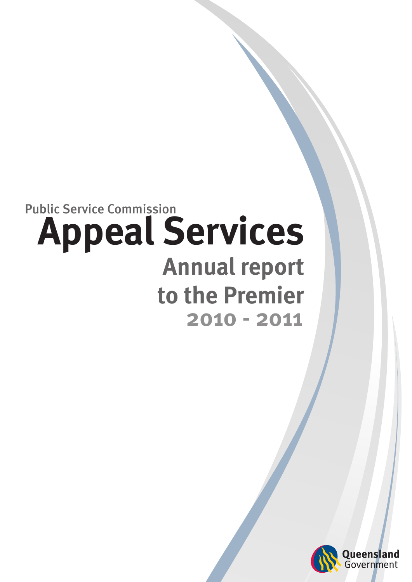# **Appeal Services Annual report to the Premier 2010 - 2011** Public Service Commission

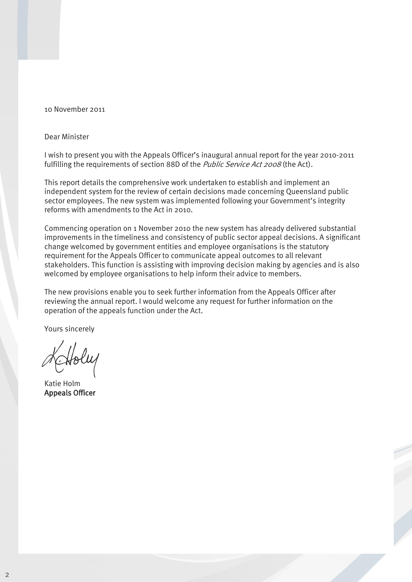#### 10 November 2011

#### Dear Minister

I wish to present you with the Appeals Officer's inaugural annual report for the year 2010-2011 fulfilling the requirements of section 88D of the *Public Service Act 2008* (the Act).

This report details the comprehensive work undertaken to establish and implement an independent system for the review of certain decisions made concerning Queensland public sector employees. The new system was implemented following your Government's integrity reforms with amendments to the Act in 2010.

Commencing operation on 1 November 2010 the new system has already delivered substantial improvements in the timeliness and consistency of public sector appeal decisions. A significant change welcomed by government entities and employee organisations is the statutory requirement for the Appeals Officer to communicate appeal outcomes to all relevant stakeholders. This function is assisting with improving decision making by agencies and is also welcomed by employee organisations to help inform their advice to members.

The new provisions enable you to seek further information from the Appeals Officer after reviewing the annual report. I would welcome any request for further information on the operation of the appeals function under the Act.

Yours sincerely

Katie Holm Appeals Officer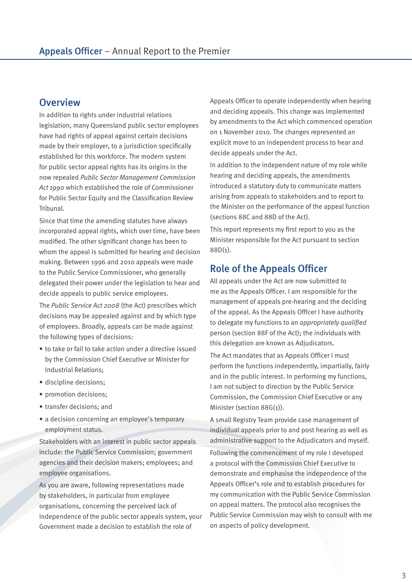### **Overview**

In addition to rights under industrial relations legislation, many Queensland public sector employees have had rights of appeal against certain decisions made by their employer, to a jurisdiction specifically established for this workforce. The modern system for public sector appeal rights has its origins in the now repealed *Public Sector Management Commission Act 1990* which established the role of Commissioner for Public Sector Equity and the Classification Review Tribunal.

Since that time the amending statutes have always incorporated appeal rights, which over time, have been modified. The other significant change has been to whom the appeal is submitted for hearing and decision making. Between 1996 and 2010 appeals were made to the Public Service Commissioner, who generally delegated their power under the legislation to hear and decide appeals to public service employees.

The *Public Service Act 2008* (the Act) prescribes which decisions may be appealed against and by which type of employees. Broadly, appeals can be made against the following types of decisions:

- to take or fail to take action under a directive issued by the Commission Chief Executive or Minister for Industrial Relations;
- discipline decisions;
- promotion decisions;
- transfer decisions; and
- a decision concerning an employee's temporary employment status.

Stakeholders with an interest in public sector appeals include: the Public Service Commission; government agencies and their decision makers; employees; and employee organisations.

As you are aware, following representations made by stakeholders, in particular from employee organisations, concerning the perceived lack of independence of the public sector appeals system, your Government made a decision to establish the role of

Appeals Officer to operate independently when hearing and deciding appeals. This change was implemented by amendments to the Act which commenced operation on 1 November 2010. The changes represented an explicit move to an independent process to hear and decide appeals under the Act.

In addition to the independent nature of my role while hearing and deciding appeals, the amendments introduced a statutory duty to communicate matters arising from appeals to stakeholders and to report to the Minister on the performance of the appeal function (sections 88C and 88D of the Act).

This report represents my first report to you as the Minister responsible for the Act pursuant to section 88D(1).

### Role of the Appeals Officer

All appeals under the Act are now submitted to me as the Appeals Officer. I am responsible for the management of appeals pre-hearing and the deciding of the appeal. As the Appeals Officer I have authority to delegate my functions to an *appropriately qualified* person (section 88F of the Act); the individuals with this delegation are known as Adjudicators.

The Act mandates that as Appeals Officer I must perform the functions independently, impartially, fairly and in the public interest. In performing my functions, I am not subject to direction by the Public Service Commission, the Commission Chief Executive or any Minister (section 88G(1)).

A small Registry Team provide case management of individual appeals prior to and post hearing as well as administrative support to the Adjudicators and myself. Following the commencement of my role I developed a protocol with the Commission Chief Executive to demonstrate and emphasise the independence of the Appeals Officer's role and to establish procedures for my communication with the Public Service Commission on appeal matters. The protocol also recognises the Public Service Commission may wish to consult with me on aspects of policy development.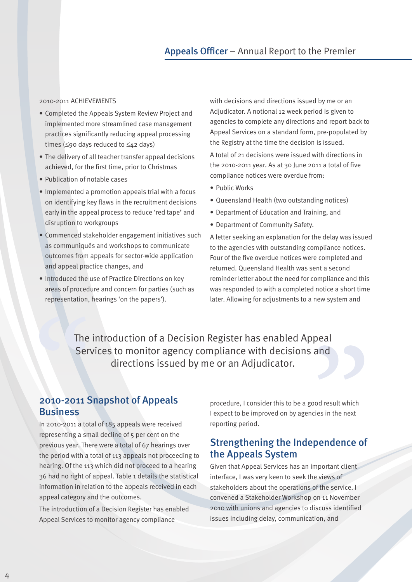#### 2010-2011 ACHIEVEMENTS

- Completed the Appeals System Review Project and implemented more streamlined case management practices significantly reducing appeal processing times (≤90 days reduced to ≤42 days)
- The delivery of all teacher transfer appeal decisions achieved, for the first time, prior to Christmas
- Publication of notable cases
- Implemented a promotion appeals trial with a focus on identifying key flaws in the recruitment decisions early in the appeal process to reduce 'red tape' and disruption to workgroups
- Commenced stakeholder engagement initiatives such as communiqués and workshops to communicate outcomes from appeals for sector-wide application and appeal practice changes, and
- Introduced the use of Practice Directions on key areas of procedure and concern for parties (such as representation, hearings 'on the papers').

with decisions and directions issued by me or an Adjudicator. A notional 12 week period is given to agencies to complete any directions and report back to Appeal Services on a standard form, pre-populated by the Registry at the time the decision is issued.

A total of 21 decisions were issued with directions in the 2010-2011 year. As at 30 June 2011 a total of five compliance notices were overdue from:

- Public Works
- Queensland Health (two outstanding notices)
- Department of Education and Training, and
- Department of Community Safety.

A letter seeking an explanation for the delay was issued to the agencies with outstanding compliance notices. Four of the five overdue notices were completed and returned. Queensland Health was sent a second reminder letter about the need for compliance and this was responded to with a completed notice a short time later. Allowing for adjustments to a new system and

The introduction of a Decision Register has enabled Appeal Services to monitor agency compliance with decisions and directions issued by me or an Adjudicator.

### 2010-2011 Snapshot of Appeals Business

In 2010-2011 a total of 185 appeals were received representing a small decline of 5 per cent on the previous year. There were a total of 67 hearings over the period with a total of 113 appeals not proceeding to hearing. Of the 113 which did not proceed to a hearing 36 had no right of appeal. Table 1 details the statistical information in relation to the appeals received in each appeal category and the outcomes.

The introduction of a Decision Register has enabled Appeal Services to monitor agency compliance

procedure, I consider this to be a good result which I expect to be improved on by agencies in the next reporting period.

### Strengthening the Independence of the Appeals System

Given that Appeal Services has an important client interface, I was very keen to seek the views of stakeholders about the operations of the service. I convened a Stakeholder Workshop on 11 November 2010 with unions and agencies to discuss identified issues including delay, communication, and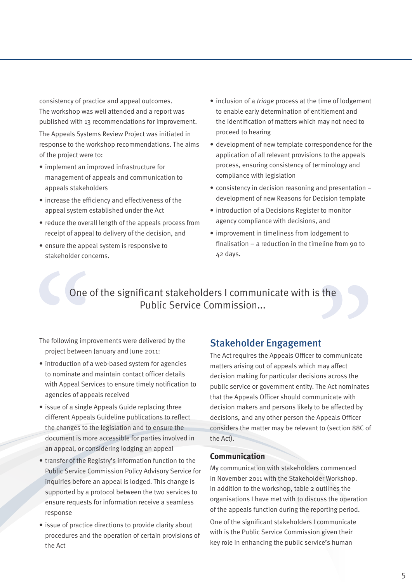consistency of practice and appeal outcomes. The workshop was well attended and a report was published with 13 recommendations for improvement.

The Appeals Systems Review Project was initiated in response to the workshop recommendations. The aims of the project were to:

- implement an improved infrastructure for management of appeals and communication to appeals stakeholders
- increase the efficiency and effectiveness of the appeal system established under the Act
- reduce the overall length of the appeals process from receipt of appeal to delivery of the decision, and
- ensure the appeal system is responsive to stakeholder concerns.
- inclusion of a *triage* process at the time of lodgement to enable early determination of entitlement and the identification of matters which may not need to proceed to hearing
- development of new template correspondence for the application of all relevant provisions to the appeals process, ensuring consistency of terminology and compliance with legislation
- consistency in decision reasoning and presentation development of new Reasons for Decision template
- introduction of a Decisions Register to monitor agency compliance with decisions, and
- improvement in timeliness from lodgement to finalisation – a reduction in the timeline from 90 to 42 days.

## One of the significant stakeholders I communicate with is the Public Service Commission...

The following improvements were delivered by the project between January and June 2011:

- introduction of a web-based system for agencies to nominate and maintain contact officer details with Appeal Services to ensure timely notification to agencies of appeals received
- issue of a single Appeals Guide replacing three different Appeals Guideline publications to reflect the changes to the legislation and to ensure the document is more accessible for parties involved in an appeal, or considering lodging an appeal
- transfer of the Registry's information function to the Public Service Commission Policy Advisory Service for inquiries before an appeal is lodged. This change is supported by a protocol between the two services to ensure requests for information receive a seamless response
- issue of practice directions to provide clarity about procedures and the operation of certain provisions of the Act

### Stakeholder Engagement

The Act requires the Appeals Officer to communicate matters arising out of appeals which may affect decision making for particular decisions across the public service or government entity. The Act nominates that the Appeals Officer should communicate with decision makers and persons likely to be affected by decisions, and any other person the Appeals Officer considers the matter may be relevant to (section 88C of the Act).

#### **Communication**

My communication with stakeholders commenced in November 2011 with the Stakeholder Workshop. In addition to the workshop, table 2 outlines the organisations I have met with to discuss the operation of the appeals function during the reporting period. One of the significant stakeholders I communicate with is the Public Service Commission given their key role in enhancing the public service's human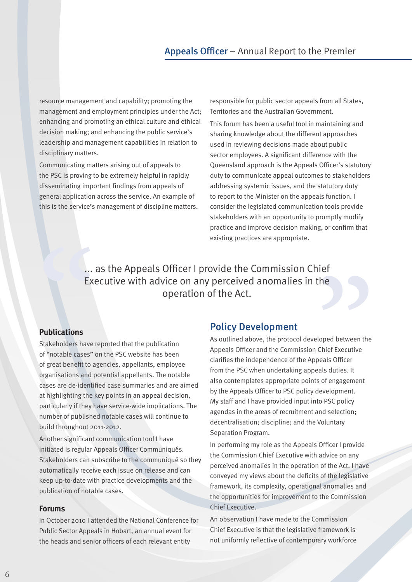### Appeals Officer – Annual Report to the Premier

resource management and capability; promoting the management and employment principles under the Act; enhancing and promoting an ethical culture and ethical decision making; and enhancing the public service's leadership and management capabilities in relation to disciplinary matters.

Communicating matters arising out of appeals to the PSC is proving to be extremely helpful in rapidly disseminating important findings from appeals of general application across the service. An example of this is the service's management of discipline matters. responsible for public sector appeals from all States, Territories and the Australian Government. This forum has been a useful tool in maintaining and sharing knowledge about the different approaches used in reviewing decisions made about public sector employees. A significant difference with the Queensland approach is the Appeals Officer's statutory duty to communicate appeal outcomes to stakeholders addressing systemic issues, and the statutory duty to report to the Minister on the appeals function. I consider the legislated communication tools provide stakeholders with an opportunity to promptly modify practice and improve decision making, or confirm that existing practices are appropriate.

... as the Appeals Officer I provide the Commission Chief Executive with advice on any perceived anomalies in the operation of the Act.

#### **Publications**

Stakeholders have reported that the publication of "notable cases" on the PSC website has been of great benefit to agencies, appellants, employee organisations and potential appellants. The notable cases are de-identified case summaries and are aimed at highlighting the key points in an appeal decision, particularly if they have service-wide implications. The number of published notable cases will continue to build throughout 2011-2012.

Another significant communication tool I have initiated is regular Appeals Officer Communiqués. Stakeholders can subscribe to the communiqué so they automatically receive each issue on release and can keep up-to-date with practice developments and the publication of notable cases.

#### **Forums**

In October 2010 I attended the National Conference for Public Sector Appeals in Hobart, an annual event for the heads and senior officers of each relevant entity

#### Policy Development

As outlined above, the protocol developed between the Appeals Officer and the Commission Chief Executive clarifies the independence of the Appeals Officer from the PSC when undertaking appeals duties. It also contemplates appropriate points of engagement by the Appeals Officer to PSC policy development. My staff and I have provided input into PSC policy agendas in the areas of recruitment and selection; decentralisation; discipline; and the Voluntary Separation Program.

In performing my role as the Appeals Officer I provide the Commission Chief Executive with advice on any perceived anomalies in the operation of the Act. I have conveyed my views about the deficits of the legislative framework, its complexity, operational anomalies and the opportunities for improvement to the Commission Chief Executive.

An observation I have made to the Commission Chief Executive is that the legislative framework is not uniformly reflective of contemporary workforce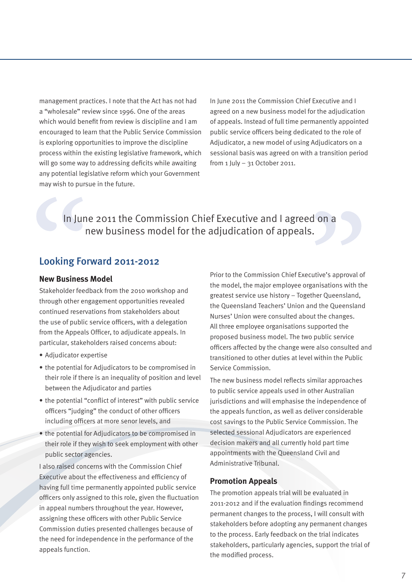management practices. I note that the Act has not had a "wholesale" review since 1996. One of the areas which would benefit from review is discipline and I am encouraged to learn that the Public Service Commission is exploring opportunities to improve the discipline process within the existing legislative framework, which will go some way to addressing deficits while awaiting any potential legislative reform which your Government may wish to pursue in the future.

In June 2011 the Commission Chief Executive and I agreed on a new business model for the adjudication of appeals. Instead of full time permanently appointed public service officers being dedicated to the role of Adjudicator, a new model of using Adjudicators on a sessional basis was agreed on with a transition period from 1 July – 31 October 2011.

In June 2011 the Commission Chief Executive and I agreed on a new business model for the adjudication of appeals.

### Looking Forward 2011-2012

#### **New Business Model**

Stakeholder feedback from the 2010 workshop and through other engagement opportunities revealed continued reservations from stakeholders about the use of public service officers, with a delegation from the Appeals Officer, to adjudicate appeals. In particular, stakeholders raised concerns about:

- Adjudicator expertise
- the potential for Adjudicators to be compromised in their role if there is an inequality of position and level between the Adjudicator and parties
- the potential "conflict of interest" with public service officers "judging" the conduct of other officers including officers at more senor levels, and
- the potential for Adjudicators to be compromised in their role if they wish to seek employment with other public sector agencies.

I also raised concerns with the Commission Chief Executive about the effectiveness and efficiency of having full time permanently appointed public service officers only assigned to this role, given the fluctuation in appeal numbers throughout the year. However, assigning these officers with other Public Service Commission duties presented challenges because of the need for independence in the performance of the appeals function.

Prior to the Commission Chief Executive's approval of the model, the major employee organisations with the greatest service use history – Together Queensland, the Queensland Teachers' Union and the Queensland Nurses' Union were consulted about the changes. All three employee organisations supported the proposed business model. The two public service officers affected by the change were also consulted and transitioned to other duties at level within the Public Service Commission.

The new business model reflects similar approaches to public service appeals used in other Australian jurisdictions and will emphasise the independence of the appeals function, as well as deliver considerable cost savings to the Public Service Commission. The selected sessional Adjudicators are experienced decision makers and all currently hold part time appointments with the Queensland Civil and Administrative Tribunal.

#### **Promotion Appeals**

The promotion appeals trial will be evaluated in 2011-2012 and if the evaluation findings recommend permanent changes to the process, I will consult with stakeholders before adopting any permanent changes to the process. Early feedback on the trial indicates stakeholders, particularly agencies, support the trial of the modified process.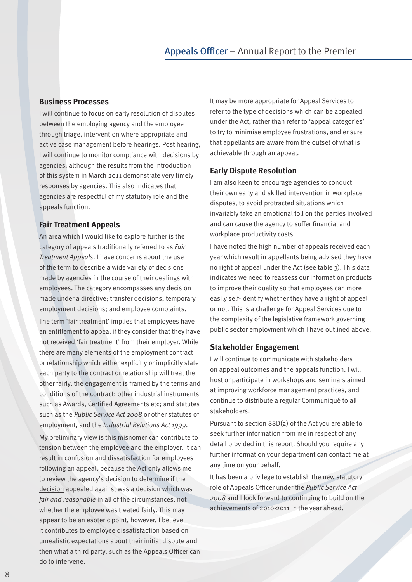#### **Business Processes**

I will continue to focus on early resolution of disputes between the employing agency and the employee through triage, intervention where appropriate and active case management before hearings. Post hearing, I will continue to monitor compliance with decisions by agencies, although the results from the introduction of this system in March 2011 demonstrate very timely responses by agencies. This also indicates that agencies are respectful of my statutory role and the appeals function.

#### **Fair Treatment Appeals**

An area which I would like to explore further is the category of appeals traditionally referred to as *Fair Treatment Appeals*. I have concerns about the use of the term to describe a wide variety of decisions made by agencies in the course of their dealings with employees. The category encompasses any decision made under a directive; transfer decisions; temporary employment decisions; and employee complaints.

The term 'fair treatment' implies that employees have an entitlement to appeal if they consider that they have not received 'fair treatment' from their employer. While there are many elements of the employment contract or relationship which either explicitly or implicitly state each party to the contract or relationship will treat the other fairly, the engagement is framed by the terms and conditions of the contract; other industrial instruments such as Awards, Certified Agreements etc; and statutes such as the *Public Service Act 2008* or other statutes of employment, and the *Industrial Relations Act 1999*.

My preliminary view is this misnomer can contribute to tension between the employee and the employer. It can result in confusion and dissatisfaction for employees following an appeal, because the Act only allows me to review the agency's decision to determine if the decision appealed against was a decision which was *fair and reasonable* in all of the circumstances, not whether the employee was treated fairly. This may appear to be an esoteric point, however, I believe it contributes to employee dissatisfaction based on unrealistic expectations about their initial dispute and then what a third party, such as the Appeals Officer can do to intervene.

It may be more appropriate for Appeal Services to refer to the type of decisions which can be appealed under the Act, rather than refer to 'appeal categories' to try to minimise employee frustrations, and ensure that appellants are aware from the outset of what is achievable through an appeal.

#### **Early Dispute Resolution**

I am also keen to encourage agencies to conduct their own early and skilled intervention in workplace disputes, to avoid protracted situations which invariably take an emotional toll on the parties involved and can cause the agency to suffer financial and workplace productivity costs.

I have noted the high number of appeals received each year which result in appellants being advised they have no right of appeal under the Act (see table 3). This data indicates we need to reassess our information products to improve their quality so that employees can more easily self-identify whether they have a right of appeal or not. This is a challenge for Appeal Services due to the complexity of the legislative framework governing public sector employment which I have outlined above.

#### **Stakeholder Engagement**

I will continue to communicate with stakeholders on appeal outcomes and the appeals function. I will host or participate in workshops and seminars aimed at improving workforce management practices, and continue to distribute a regular Communiqué to all stakeholders.

Pursuant to section 88D(2) of the Act you are able to seek further information from me in respect of any detail provided in this report. Should you require any further information your department can contact me at any time on your behalf.

It has been a privilege to establish the new statutory role of Appeals Officer under the *Public Service Act 2008* and I look forward to continuing to build on the achievements of 2010-2011 in the year ahead.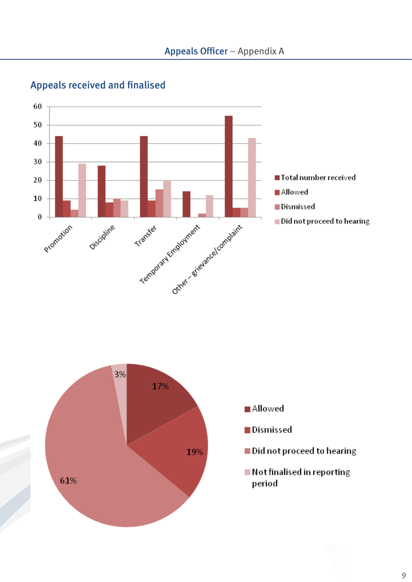

# Appeals received and finalised

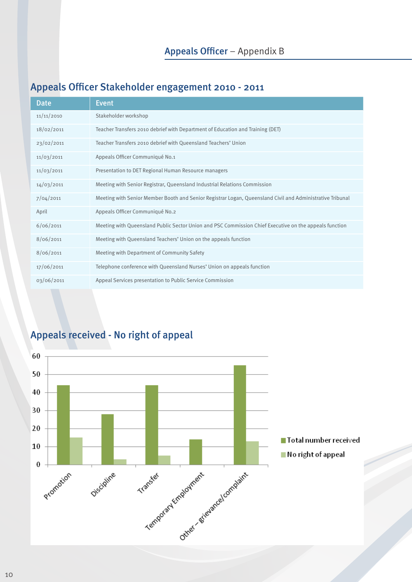# Appeals Officer – Appendix B

## Appeals Officer Stakeholder engagement 2010 - 2011

| Date       | Event                                                                                                     |
|------------|-----------------------------------------------------------------------------------------------------------|
| 11/11/2010 | Stakeholder workshop                                                                                      |
| 18/02/2011 | Teacher Transfers 2010 debrief with Department of Education and Training (DET)                            |
| 23/02/2011 | Teacher Transfers 2010 debrief with Queensland Teachers' Union                                            |
| 11/03/2011 | Appeals Officer Communiqué No.1                                                                           |
| 11/03/2011 | Presentation to DET Regional Human Resource managers                                                      |
| 14/03/2011 | Meeting with Senior Registrar, Queensland Industrial Relations Commission                                 |
| 7/04/2011  | Meeting with Senior Member Booth and Senior Registrar Logan, Queensland Civil and Administrative Tribunal |
| April      | Appeals Officer Communiqué No.2                                                                           |
| 6/06/2011  | Meeting with Queensland Public Sector Union and PSC Commission Chief Executive on the appeals function    |
| 8/06/2011  | Meeting with Queensland Teachers' Union on the appeals function                                           |
| 8/06/2011  | Meeting with Department of Community Safety                                                               |
| 17/06/2011 | Telephone conference with Queensland Nurses' Union on appeals function                                    |
| 03/06/2011 | Appeal Services presentation to Public Service Commission                                                 |

# Appeals received - No right of appeal

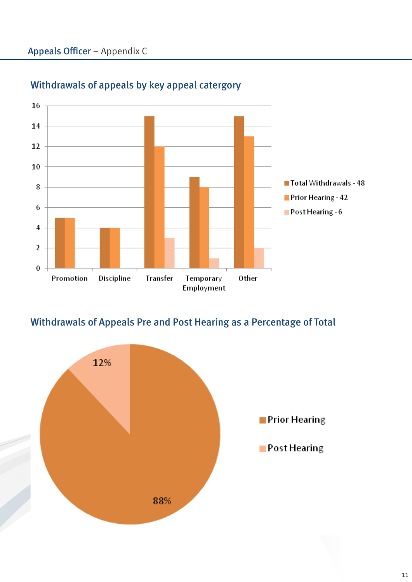

# Withdrawals of appeals by key appeal catergory

## Withdrawals of Appeals Pre and Post Hearing as a Percentage of Total

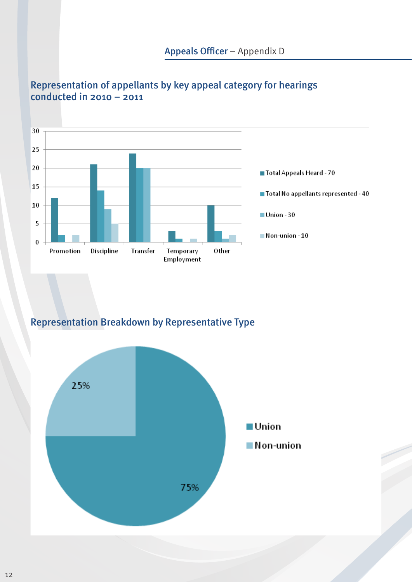

### Representation of appellants by key appeal category for hearings conducted in  $2010 - 2011$

### Representation Breakdown by Representative Type

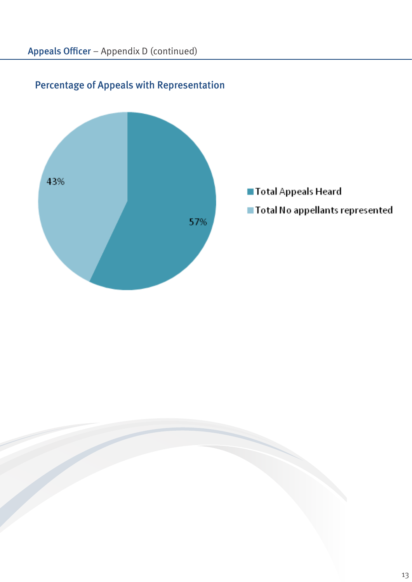

# Percentage of Appeals with Representation